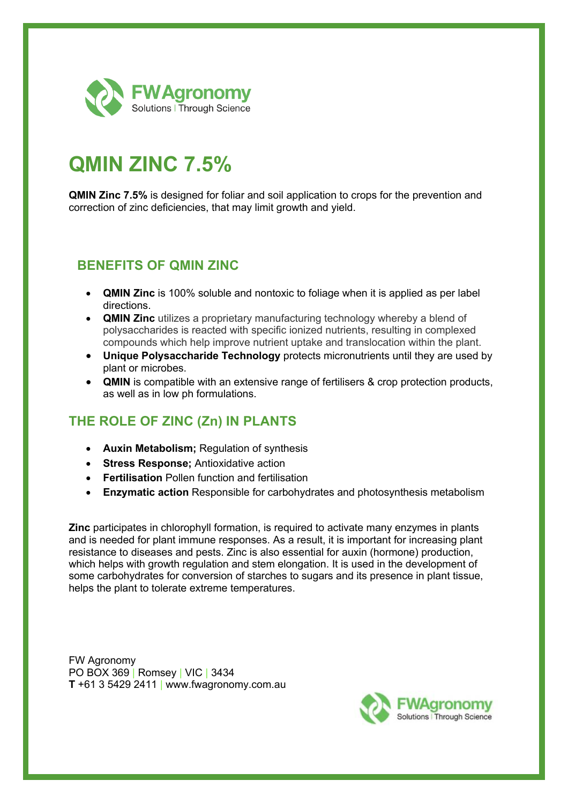

# **QMIN ZINC 7.5%**

**QMIN Zinc 7.5%** is designed for foliar and soil application to crops for the prevention and correction of zinc deficiencies, that may limit growth and yield.

### **BENEFITS OF QMIN ZINC**

- **QMIN Zinc** is 100% soluble and nontoxic to foliage when it is applied as per label directions.
- **QMIN Zinc** utilizes a proprietary manufacturing technology whereby a blend of polysaccharides is reacted with specific ionized nutrients, resulting in complexed compounds which help improve nutrient uptake and translocation within the plant.
- **Unique Polysaccharide Technology** protects micronutrients until they are used by plant or microbes.
- **QMIN** is compatible with an extensive range of fertilisers & crop protection products, as well as in low ph formulations.

## **THE ROLE OF ZINC (Zn) IN PLANTS**

- **Auxin Metabolism;** Regulation of synthesis
- **Stress Response;** Antioxidative action
- **Fertilisation** Pollen function and fertilisation
- **Enzymatic action** Responsible for carbohydrates and photosynthesis metabolism

**Zinc** participates in chlorophyll formation, is required to activate many enzymes in plants and is needed for plant immune responses. As a result, it is important for increasing plant resistance to diseases and pests. Zinc is also essential for auxin (hormone) production, which helps with growth regulation and stem elongation. It is used in the development of some carbohydrates for conversion of starches to sugars and its presence in plant tissue, helps the plant to tolerate extreme temperatures.

FW Agronomy PO BOX 369 | Romsey | VIC | 3434 **T** +61 3 5429 2411 | www.fwagronomy.com.au